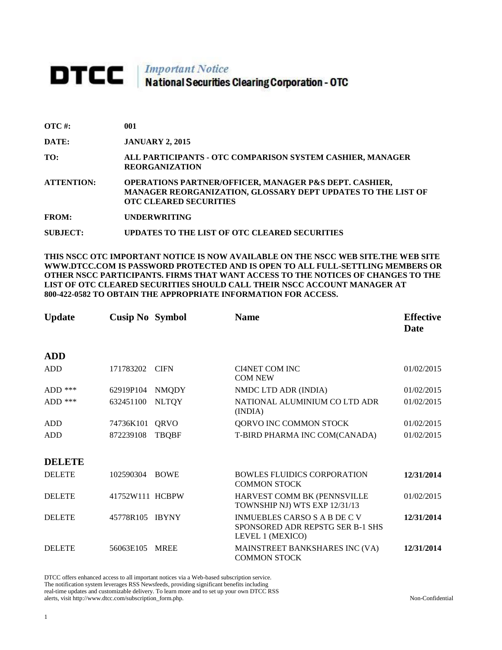## **DTCC** National Securities Clearing Corporation - OTC

| $\overline{OTC}$ #: | 001                                                                                                                                                                |
|---------------------|--------------------------------------------------------------------------------------------------------------------------------------------------------------------|
| DATE:               | <b>JANUARY 2, 2015</b>                                                                                                                                             |
| TO:                 | ALL PARTICIPANTS - OTC COMPARISON SYSTEM CASHIER, MANAGER<br><b>REORGANIZATION</b>                                                                                 |
| <b>ATTENTION:</b>   | <b>OPERATIONS PARTNER/OFFICER, MANAGER P&amp;S DEPT. CASHIER,</b><br>MANAGER REORGANIZATION, GLOSSARY DEPT UPDATES TO THE LIST OF<br><b>OTC CLEARED SECURITIES</b> |
| <b>FROM:</b>        | <b>UNDERWRITING</b>                                                                                                                                                |
| SUBJECT:            | UPDATES TO THE LIST OF OTC CLEARED SECURITIES                                                                                                                      |

**THIS NSCC OTC IMPORTANT NOTICE IS NOW AVAILABLE ON THE NSCC WEB SITE.THE WEB SITE WWW.DTCC.COM IS PASSWORD PROTECTED AND IS OPEN TO ALL FULL-SETTLING MEMBERS OR OTHER NSCC PARTICIPANTS. FIRMS THAT WANT ACCESS TO THE NOTICES OF CHANGES TO THE LIST OF OTC CLEARED SECURITIES SHOULD CALL THEIR NSCC ACCOUNT MANAGER AT 800-422-0582 TO OBTAIN THE APPROPRIATE INFORMATION FOR ACCESS.** 

| <b>Update</b> | <b>Cusip No Symbol</b> |              | <b>Name</b>                                                                                 | <b>Effective</b><br><b>Date</b> |
|---------------|------------------------|--------------|---------------------------------------------------------------------------------------------|---------------------------------|
| <b>ADD</b>    |                        |              |                                                                                             |                                 |
| <b>ADD</b>    | 171783202              | <b>CIFN</b>  | <b>CI4NET COM INC</b><br><b>COM NEW</b>                                                     | 01/02/2015                      |
| ADD $***$     | 62919P104              | <b>NMQDY</b> | NMDC LTD ADR (INDIA)                                                                        | 01/02/2015                      |
| ADD $***$     | 632451100              | <b>NLTQY</b> | NATIONAL ALUMINIUM CO LTD ADR<br>(INDIA)                                                    | 01/02/2015                      |
| <b>ADD</b>    | 74736K101              | QRVO         | QORVO INC COMMON STOCK                                                                      | 01/02/2015                      |
| <b>ADD</b>    | 872239108              | <b>TBQBF</b> | T-BIRD PHARMA INC COM(CANADA)                                                               | 01/02/2015                      |
| <b>DELETE</b> |                        |              |                                                                                             |                                 |
| <b>DELETE</b> | 102590304              | <b>BOWE</b>  | <b>BOWLES FLUIDICS CORPORATION</b><br><b>COMMON STOCK</b>                                   | 12/31/2014                      |
| <b>DELETE</b> | 41752W111 HCBPW        |              | HARVEST COMM BK (PENNSVILLE<br>TOWNSHIP NJ) WTS EXP 12/31/13                                | 01/02/2015                      |
| <b>DELETE</b> | 45778R105 IBYNY        |              | <b>INMUEBLES CARSO S A B DE C V</b><br>SPONSORED ADR REPSTG SER B-1 SHS<br>LEVEL 1 (MEXICO) | 12/31/2014                      |
| <b>DELETE</b> | 56063E105              | <b>MREE</b>  | MAINSTREET BANKSHARES INC (VA)<br><b>COMMON STOCK</b>                                       | 12/31/2014                      |

DTCC offers enhanced access to all important notices via a Web-based subscription service. The notification system leverages RSS Newsfeeds, providing significant benefits including real-time updates and customizable delivery. To learn more and to set up your own DTCC RSS alerts, visit http://www.dtcc.com/subscription\_form.php. Non-Confidential